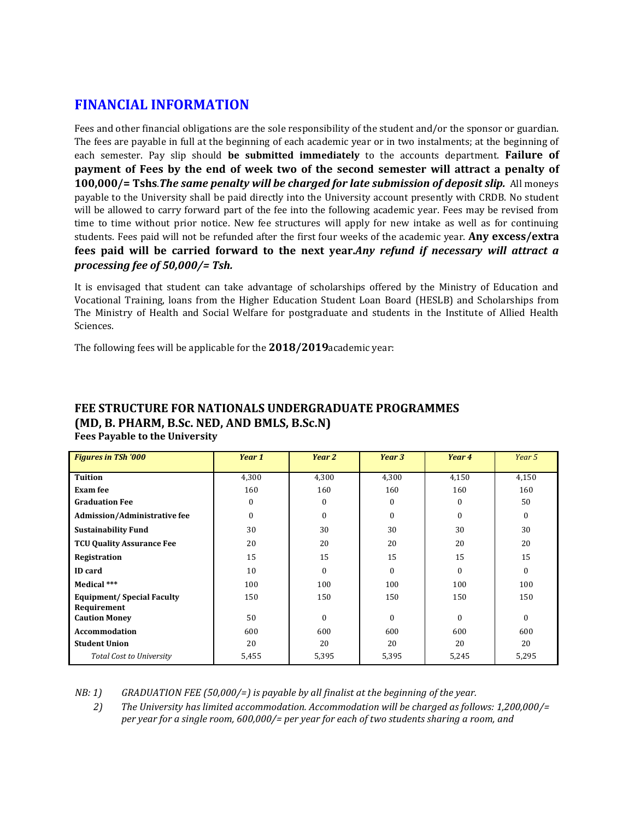# **FINANCIAL INFORMATION**

Fees and other financial obligations are the sole responsibility of the student and/or the sponsor or guardian. The fees are payable in full at the beginning of each academic year or in two instalments; at the beginning of each semester. Pay slip should **be submitted immediately** to the accounts department. **Failure of payment** of Fees by the end of week two of the second semester will attract a penalty of **100,000/= Tshs.***The same penalty will be charged for late submission of deposit slip.* **All moneys** payable to the University shall be paid directly into the University account presently with CRDB. No student will be allowed to carry forward part of the fee into the following academic year. Fees may be revised from time to time without prior notice. New fee structures will apply for new intake as well as for continuing students. Fees paid will not be refunded after the first four weeks of the academic year. **Any excess/extra** fees paid will be carried forward to the next year.*Any refund if necessary will attract a processing fee of 50,000/= Tsh.*

It is envisaged that student can take advantage of scholarships offered by the Ministry of Education and Vocational Training, loans from the Higher Education Student Loan Board (HESLB) and Scholarships from The Ministry of Health and Social Welfare for postgraduate and students in the Institute of Allied Health Sciences. 

The following fees will be applicable for the **2018/2019**academic year:

| <b>Figures in TSh '000</b>          | Year 1   | Year 2   | Year 3   | Year 4   | Year 5   |
|-------------------------------------|----------|----------|----------|----------|----------|
| <b>Tuition</b>                      | 4,300    | 4,300    | 4,300    | 4,150    | 4,150    |
| <b>Exam fee</b>                     | 160      | 160      | 160      | 160      | 160      |
| <b>Graduation Fee</b>               | $\Omega$ | $\theta$ | $\theta$ | $\Omega$ | 50       |
| <b>Admission/Administrative fee</b> | $\Omega$ | $\theta$ | $\theta$ | $\Omega$ | $\Omega$ |
| <b>Sustainability Fund</b>          | 30       | 30       | 30       | 30       | 30       |
| <b>TCU Quality Assurance Fee</b>    | 20       | 20       | 20       | 20       | 20       |
| Registration                        | 15       | 15       | 15       | 15       | 15       |
| <b>ID</b> card                      | 10       | $\theta$ | $\theta$ | $\Omega$ | $\Omega$ |
| Medical ***                         | 100      | 100      | 100      | 100      | 100      |
| <b>Equipment/ Special Faculty</b>   | 150      | 150      | 150      | 150      | 150      |
| Requirement<br><b>Caution Money</b> | 50       | $\theta$ | $\theta$ | $\Omega$ | $\Omega$ |
| Accommodation                       | 600      | 600      | 600      | 600      | 600      |
| <b>Student Union</b>                | 20       | 20       | 20       | 20       | 20       |
| <b>Total Cost to University</b>     | 5,455    | 5,395    | 5,395    | 5,245    | 5,295    |

# **FEE STRUCTURE FOR NATIONALS UNDERGRADUATE PROGRAMMES (MD, B. PHARM, B.Sc. NED, AND BMLS, B.Sc.N)**

**Fees Payable to the University** 

*NB:* 1) *GRADUATION FEE (50,000/=)* is payable by all finalist at the beginning of the year.

2) The University has limited accommodation. Accommodation will be charged as follows: 1,200,000/= *per year for a single room,* 600,000/= *per year for each of two students sharing a room, and*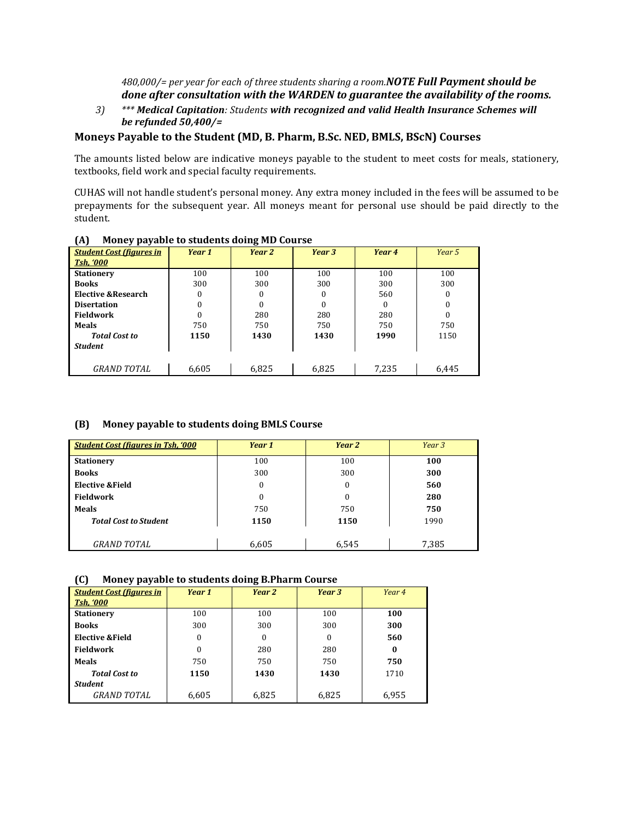*480,000/=* per year for each of three students sharing a room.*NOTE Full Payment should be done after consultation with the WARDEN to guarantee the availability of the rooms.* 

*3) \*\*\* Medical Capitation: Students with recognized and valid Health Insurance Schemes will be refunded 50,400/=*

#### Moneys Payable to the Student (MD, B. Pharm, B.Sc. NED, BMLS, BScN) Courses

The amounts listed below are indicative moneys payable to the student to meet costs for meals, stationery, textbooks, field work and special faculty requirements.

CUHAS will not handle student's personal money. Any extra money included in the fees will be assumed to be prepayments for the subsequent year. All moneys meant for personal use should be paid directly to the student. 

| $\ddot{\phantom{1}}$<br>. .     |        | $\cdot$ |          |        |        |
|---------------------------------|--------|---------|----------|--------|--------|
| <b>Student Cost (figures in</b> | Year 1 | Year 2  | Year 3   | Year 4 | Year 5 |
| <b>Tsh. '000</b>                |        |         |          |        |        |
| <b>Stationery</b>               | 100    | 100     | 100      | 100    | 100    |
| <b>Books</b>                    | 300    | 300     | 300      | 300    | 300    |
| Elective & Research             | 0      |         | $\theta$ | 560    | 0      |
| <b>Disertation</b>              | 0      | 0       | $\theta$ | 0      | 0      |
| <b>Fieldwork</b>                | 0      | 280     | 280      | 280    | 0      |
| Meals                           | 750    | 750     | 750      | 750    | 750    |
| <b>Total Cost to</b>            | 1150   | 1430    | 1430     | 1990   | 1150   |
| <b>Student</b>                  |        |         |          |        |        |
|                                 |        |         |          |        |        |
| <i>GRAND TOTAL</i>              | 6,605  | 6.825   | 6.825    | 7,235  | 6,445  |

#### **(A) Money payable to students doing MD Course**

#### **(B) Money payable to students doing BMLS Course**

| <b>Student Cost (figures in Tsh. '000</b> | Year 1 | Year 2           | Year 3 |
|-------------------------------------------|--------|------------------|--------|
| <b>Stationery</b>                         | 100    | 100              | 100    |
| <b>Books</b>                              | 300    | 300              | 300    |
| Elective & Field                          | 0      | $\boldsymbol{0}$ | 560    |
| <b>Fieldwork</b>                          | 0      | 0                | 280    |
| <b>Meals</b>                              | 750    | 750              | 750    |
| <b>Total Cost to Student</b>              | 1150   | 1150             | 1990   |
|                                           |        |                  |        |
| <i>GRAND TOTAL</i>                        | 6,605  | 6,545            | 7,385  |

#### **(C) Money payable to students doing B.Pharm Course**

| <b>Student Cost (figures in</b> | Year 1   | Year 2 | Year 3   | Year 4 |
|---------------------------------|----------|--------|----------|--------|
| <b>Tsh, '000</b>                |          |        |          |        |
| <b>Stationery</b>               | 100      | 100    | 100      | 100    |
| <b>Books</b>                    | 300      | 300    | 300      | 300    |
| <b>Elective &amp;Field</b>      | $\Omega$ | 0      | $\Omega$ | 560    |
| <b>Fieldwork</b>                | $\Omega$ | 280    | 280      | 0      |
| Meals                           | 750      | 750    | 750      | 750    |
| <b>Total Cost to</b>            | 1150     | 1430   | 1430     | 1710   |
| <b>Student</b>                  |          |        |          |        |
| <i>GRAND TOTAL</i>              | 6,605    | 6,825  | 6,825    | 6,955  |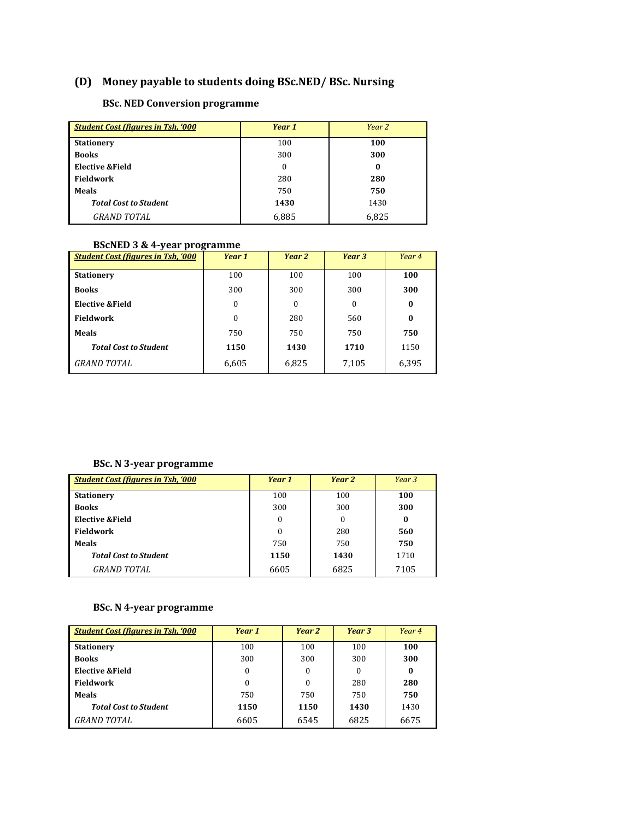# **(D)** Money payable to students doing BSc.NED/ BSc. Nursing

## **BSc. NED Conversion programme**

| <b>Student Cost (figures in Tsh. '000</b> | Year 1 | Year 2 |
|-------------------------------------------|--------|--------|
| <b>Stationery</b>                         | 100    | 100    |
| <b>Books</b>                              | 300    | 300    |
| <b>Elective &amp;Field</b>                | 0      | 0      |
| Fieldwork                                 | 280    | 280    |
| <b>Meals</b>                              | 750    | 750    |
| <b>Total Cost to Student</b>              | 1430   | 1430   |
| <b>GRAND TOTAL</b>                        | 6,885  | 6.825  |

#### **BScNED 3 & 4-year programme**

| <b>Student Cost (figures in Tsh, '000</b> | Year 1           | Year 2       | Year 3   | Year 4   |
|-------------------------------------------|------------------|--------------|----------|----------|
| <b>Stationery</b>                         | 100              | 100          | 100      | 100      |
| <b>Books</b>                              | 300              | 300          | 300      | 300      |
| Elective & Field                          | $\bf{0}$         | $\mathbf{0}$ | $\Omega$ | $\bf{0}$ |
| Fieldwork                                 | $\boldsymbol{0}$ | 280          | 560      | $\bf{0}$ |
| <b>Meals</b>                              | 750              | 750          | 750      | 750      |
| <b>Total Cost to Student</b>              | 1150             | 1430         | 1710     | 1150     |
| <b>GRAND TOTAL</b>                        | 6,605            | 6,825        | 7,105    | 6,395    |

#### **BSc. N 3-year programme**

| <b>Student Cost (figures in Tsh, '000</b> | Year 1 | Year 2   | Year <sub>3</sub> |
|-------------------------------------------|--------|----------|-------------------|
| <b>Stationery</b>                         | 100    | 100      | 100               |
| <b>Books</b>                              | 300    | 300      | 300               |
| Elective & Field                          | 0      | $\Omega$ | $\bf{0}$          |
| <b>Fieldwork</b>                          | 0      | 280      | 560               |
| <b>Meals</b>                              | 750    | 750      | 750               |
| <b>Total Cost to Student</b>              | 1150   | 1430     | 1710              |
| <b>GRAND TOTAL</b>                        | 6605   | 6825     | 7105              |

### **BSc. N 4-year programme**

| <b>Student Cost (figures in Tsh, '000</b> | Year 1   | Year 2 | Year 3 | Year 4 |
|-------------------------------------------|----------|--------|--------|--------|
| <b>Stationery</b>                         | 100      | 100    | 100    | 100    |
| <b>Books</b>                              | 300      | 300    | 300    | 300    |
| Elective & Field                          | $\Omega$ | 0      | 0      | 0      |
| <b>Fieldwork</b>                          | 0        | 0      | 280    | 280    |
| <b>Meals</b>                              | 750      | 750    | 750    | 750    |
| <b>Total Cost to Student</b>              | 1150     | 1150   | 1430   | 1430   |
| <b>GRAND TOTAL</b>                        | 6605     | 6545   | 6825   | 6675   |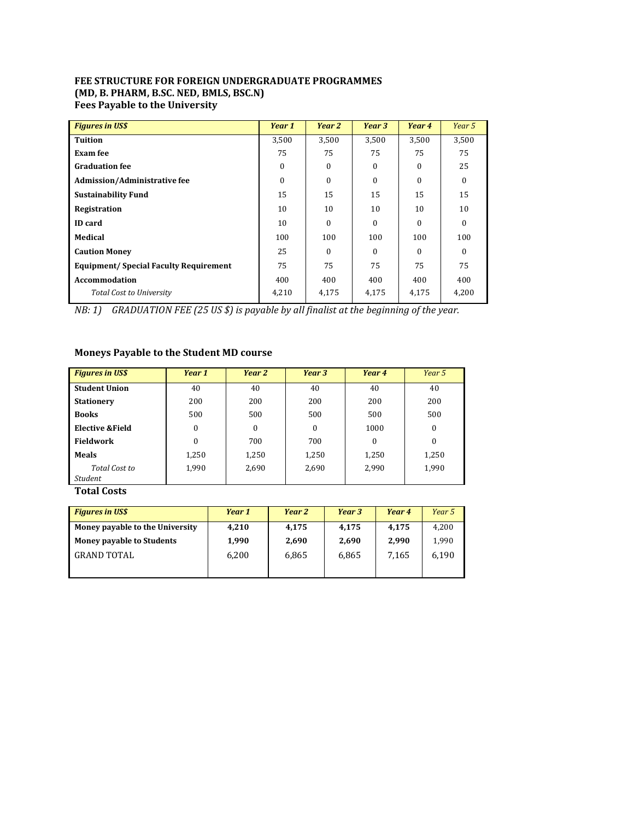#### **FEE STRUCTURE FOR FOREIGN UNDERGRADUATE PROGRAMMES (MD, B. PHARM, B.SC. NED, BMLS, BSC.N)** Fees Payable to the University

| <b>Figures in US\$</b>                        | Year 1   | Year 2   | Year 3          | Year 4   | Year 5   |
|-----------------------------------------------|----------|----------|-----------------|----------|----------|
| <b>Tuition</b>                                | 3,500    | 3,500    | 3.500           | 3,500    | 3,500    |
| Exam fee                                      | 75       | 75       | 75              | 75       | 75       |
| <b>Graduation fee</b>                         | 0        | $\theta$ | $\Omega$        | $\Omega$ | 25       |
| <b>Admission/Administrative fee</b>           | $\Omega$ | $\theta$ | $\Omega$        | $\Omega$ | $\Omega$ |
| <b>Sustainability Fund</b>                    | 15       | 15       | 15              | 15       | 15       |
| Registration                                  | 10       | 10       | 10 <sup>1</sup> | 10       | 10       |
| <b>ID</b> card                                | 10       | $\theta$ | $\Omega$        | $\Omega$ | $\Omega$ |
| Medical                                       | 100      | 100      | 100             | 100      | 100      |
| <b>Caution Money</b>                          | 25       | $\Omega$ | $\Omega$        | $\Omega$ | $\Omega$ |
| <b>Equipment/ Special Faculty Requirement</b> | 75       | 75       | 75              | 75       | 75       |
| <b>Accommodation</b>                          | 400      | 400      | 400             | 400      | 400      |
| <b>Total Cost to University</b>               | 4,210    | 4,175    | 4,175           | 4,175    | 4,200    |

*NB:* 1) GRADUATION FEE (25 US \$) is payable by all finalist at the beginning of the year.

## **Moneys Payable to the Student MD course**

| <b>Figures in US\$</b> | Year 1       | Year 2           | Year 3       | Year 4   | Year 5           |
|------------------------|--------------|------------------|--------------|----------|------------------|
| <b>Student Union</b>   | 40           | 40               | 40           | 40       | 40               |
| <b>Stationery</b>      | 200          | 200              | 200          | 200      | 200              |
| <b>Books</b>           | 500          | 500              | 500          | 500      | 500              |
| Elective & Field       | $\mathbf{0}$ | $\boldsymbol{0}$ | $\mathbf{0}$ | 1000     | $\bf{0}$         |
| <b>Fieldwork</b>       | 0            | 700              | 700          | $\bf{0}$ | $\boldsymbol{0}$ |
| <b>Meals</b>           | 1,250        | 1,250            | 1,250        | 1,250    | 1,250            |
| Total Cost to          | 1,990        | 2,690            | 2,690        | 2,990    | 1,990            |
| Student                |              |                  |              |          |                  |

**Total Costs** 

| <b>Figures in US\$</b>           | Year 1 | Year 2 | Year 3 | Year 4 | Year 5 |
|----------------------------------|--------|--------|--------|--------|--------|
| Money payable to the University  | 4,210  | 4.175  | 4.175  | 4,175  | 4.200  |
| <b>Money payable to Students</b> | 1.990  | 2,690  | 2.690  | 2.990  | 1.990  |
| <b>GRAND TOTAL</b>               | 6.200  | 6.865  | 6.865  | 7.165  | 6.190  |
|                                  |        |        |        |        |        |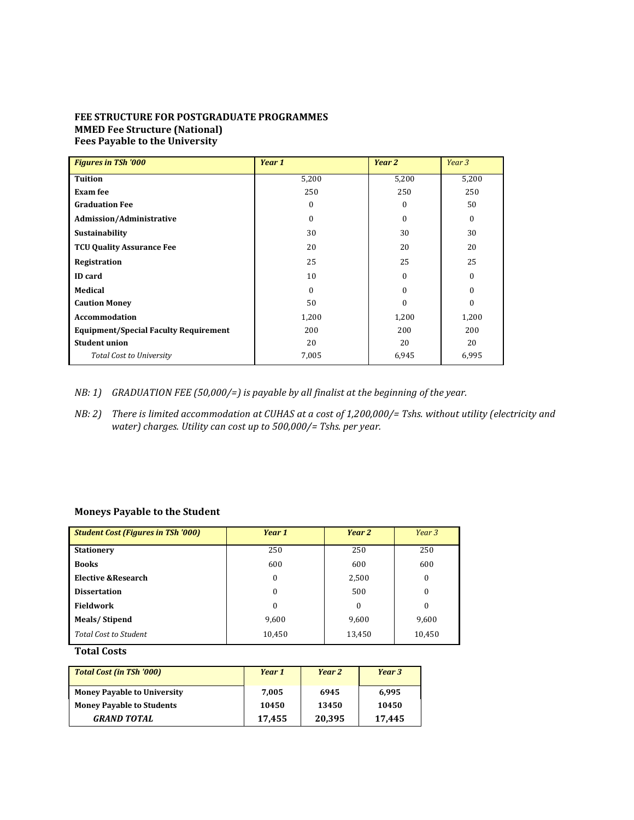#### **FEE STRUCTURE FOR POSTGRADUATE PROGRAMMES MMED Fee Structure (National)** Fees Payable to the University

| <b>Figures in TSh '000</b>                   | Year 1   | Year 2   | Year 3   |
|----------------------------------------------|----------|----------|----------|
| <b>Tuition</b>                               | 5,200    | 5,200    | 5,200    |
| Exam fee                                     | 250      | 250      | 250      |
| <b>Graduation Fee</b>                        | $\Omega$ | $\Omega$ | 50       |
| <b>Admission/Administrative</b>              | $\Omega$ | $\Omega$ | $\theta$ |
| <b>Sustainability</b>                        | 30       | 30       | 30       |
| <b>TCU Quality Assurance Fee</b>             | 20       | 20       | 20       |
| Registration                                 | 25       | 25       | 25       |
| <b>ID</b> card                               | 10       | $\Omega$ | $\Omega$ |
| Medical                                      | $\Omega$ | $\Omega$ | 0        |
| <b>Caution Money</b>                         | 50       | 0        | $\Omega$ |
| <b>Accommodation</b>                         | 1,200    | 1,200    | 1,200    |
| <b>Equipment/Special Faculty Requirement</b> | 200      | 200      | 200      |
| <b>Student union</b>                         | 20       | 20       | 20       |
| <b>Total Cost to University</b>              | 7,005    | 6,945    | 6,995    |

- *NB:* 1) GRADUATION FEE (50,000/=) is payable by all finalist at the beginning of the year.
- *NB: 2)* There is limited accommodation at CUHAS at a cost of 1,200,000/= Tshs. without utility (electricity and *water)* charges. Utility can cost up to 500,000/= Tshs. per year.

#### **Moneys Payable to the Student**

| <b>Student Cost (Figures in TSh '000)</b> | Year 1   | Year 2 | Year 3       |
|-------------------------------------------|----------|--------|--------------|
| <b>Stationery</b>                         | 250      | 250    | 250          |
| <b>Books</b>                              | 600      | 600    | 600          |
| Elective & Research                       | $\Omega$ | 2,500  | $\mathbf{0}$ |
| <b>Dissertation</b>                       | $\theta$ | 500    | $\mathbf{0}$ |
| Fieldwork                                 | $\Omega$ | 0      | $\mathbf{0}$ |
| Meals/Stipend                             | 9,600    | 9,600  | 9,600        |
| <b>Total Cost to Student</b>              | 10,450   | 13,450 | 10,450       |

#### **Total Costs**

| <b>Total Cost (in TSh '000)</b>    | Year 1 | Year 2 | Year 3 |
|------------------------------------|--------|--------|--------|
| <b>Money Payable to University</b> | 7.005  | 6945   | 6.995  |
| <b>Money Payable to Students</b>   | 10450  | 13450  | 10450  |
| <b>GRAND TOTAL</b>                 | 17,455 | 20,395 | 17,445 |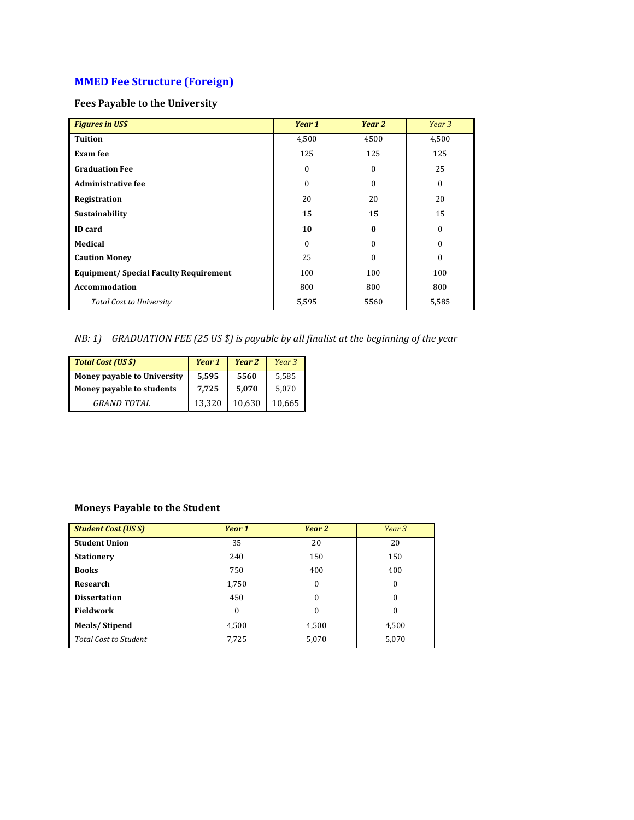# **MMED Fee Structure (Foreign)**

### **Fees Payable to the University**

| <b>Figures in US\$</b>                       | Year 1       | Year 2   | Year 3           |
|----------------------------------------------|--------------|----------|------------------|
| <b>Tuition</b>                               | 4,500        | 4500     | 4,500            |
| <b>Exam fee</b>                              | 125          | 125      | 125              |
| <b>Graduation Fee</b>                        | $\bf{0}$     | 0        | 25               |
| <b>Administrative fee</b>                    | $\mathbf{0}$ | 0        | $\mathbf{0}$     |
| Registration                                 | 20           | 20       | 20               |
| Sustainability                               | 15           | 15       | 15               |
| <b>ID</b> card                               | 10           | $\bf{0}$ | $\mathbf{0}$     |
| Medical                                      | $\Omega$     | $\theta$ | $\theta$         |
| <b>Caution Money</b>                         | 25           | 0        | $\boldsymbol{0}$ |
| <b>Equipment/Special Faculty Requirement</b> | 100          | 100      | 100              |
| <b>Accommodation</b>                         | 800          | 800      | 800              |
| <b>Total Cost to University</b>              | 5,595        | 5560     | 5,585            |

# *NB*: 1) GRADUATION FEE (25 US \$) is payable by all finalist at the beginning of the year

| <b>Total Cost (US \$)</b>   | Year 1 | Year 2 | Year 3 |
|-----------------------------|--------|--------|--------|
| Money payable to University | 5,595  | 5560   | 5.585  |
| Money payable to students   | 7,725  | 5.070  | 5.070  |
| <b>GRAND TOTAL</b>          | 13.320 | 10.630 | 10.665 |

## **Moneys Payable to the Student**

| <b>Student Cost (US \$)</b>  | Year 1           | Year 2           | Year 3       |
|------------------------------|------------------|------------------|--------------|
| <b>Student Union</b>         | 35               | 20               | 20           |
| <b>Stationery</b>            | 240              | 150              | 150          |
| <b>Books</b>                 | 750              | 400              | 400          |
| Research                     | 1,750            | $\boldsymbol{0}$ | $\mathbf{0}$ |
| <b>Dissertation</b>          | 450              | $\boldsymbol{0}$ | $\Omega$     |
| <b>Fieldwork</b>             | $\boldsymbol{0}$ | $\boldsymbol{0}$ | $\Omega$     |
| <b>Meals/Stipend</b>         | 4,500            | 4,500            | 4,500        |
| <b>Total Cost to Student</b> | 7,725            | 5,070            | 5,070        |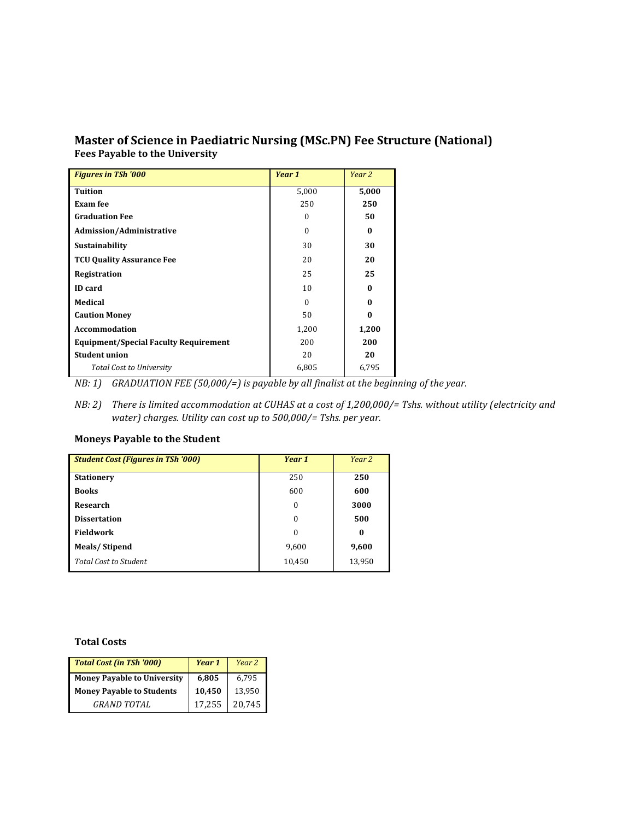## **Master of Science in Paediatric Nursing (MSc.PN) Fee Structure (National)** Fees Payable to the University

| <b>Figures in TSh '000</b>                   | Year 1   | Year 2   |
|----------------------------------------------|----------|----------|
| <b>Tuition</b>                               | 5,000    | 5,000    |
| Exam fee                                     | 250      | 250      |
| <b>Graduation Fee</b>                        | 0        | 50       |
| <b>Admission/Administrative</b>              | $\theta$ | $\bf{0}$ |
| <b>Sustainability</b>                        | 30       | 30       |
| <b>TCU Quality Assurance Fee</b>             | 20       | 20       |
| Registration                                 | 25       | 25       |
| <b>ID</b> card                               | 10       | $\bf{0}$ |
| Medical                                      | $\Omega$ | $\bf{0}$ |
| <b>Caution Money</b>                         | 50       | $\bf{0}$ |
| <b>Accommodation</b>                         | 1,200    | 1,200    |
| <b>Equipment/Special Faculty Requirement</b> | 200      | 200      |
| <b>Student union</b>                         | 20       | 20       |
| <b>Total Cost to University</b>              | 6,805    | 6,795    |

*NB:* 1) GRADUATION FEE (50,000/=) is payable by all finalist at the beginning of the year.

*NB: 2)* There is limited accommodation at CUHAS at a cost of 1,200,000/= Tshs. without utility (electricity and water) charges. Utility can cost up to 500,000/= Tshs. per year.

### **Moneys Payable to the Student**

| <b>Student Cost (Figures in TSh '000)</b> | Year 1   | Year 2   |
|-------------------------------------------|----------|----------|
| <b>Stationery</b>                         | 250      | 250      |
| <b>Books</b>                              | 600      | 600      |
| <b>Research</b>                           | $\theta$ | 3000     |
| <b>Dissertation</b>                       | $\Omega$ | 500      |
| <b>Fieldwork</b>                          | $\theta$ | $\bf{0}$ |
| Meals/Stipend                             | 9,600    | 9,600    |
| <b>Total Cost to Student</b>              | 10,450   | 13,950   |

#### **Total Costs**

| <b>Total Cost (in TSh '000)</b>    | Year 1 | Year 2 |
|------------------------------------|--------|--------|
| <b>Money Payable to University</b> | 6,805  | 6.795  |
| <b>Money Payable to Students</b>   | 10,450 | 13.950 |
| <b>GRAND TOTAL</b>                 | 17,255 | 20.745 |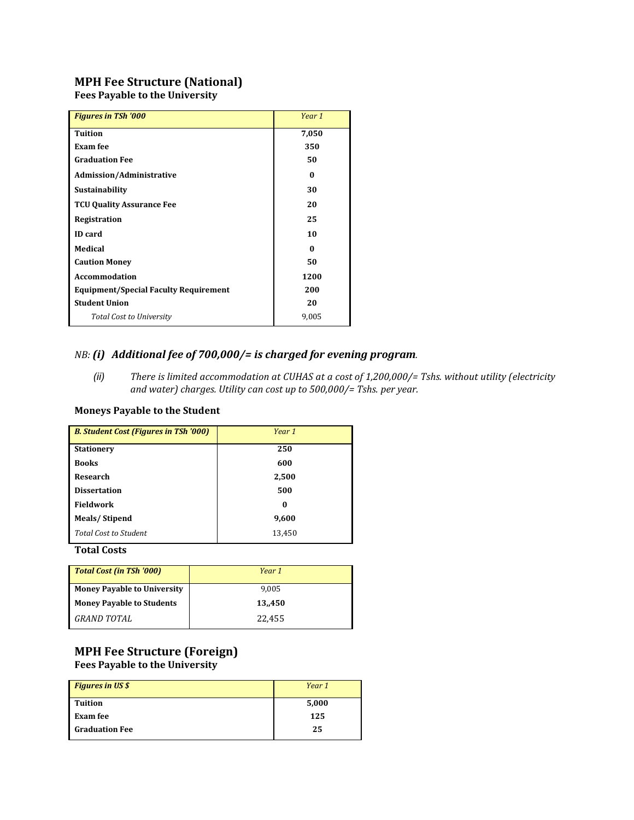# **MPH Fee Structure (National)**

Fees Payable to the University

| <b>Figures in TSh '000</b>                   | Year 1 |
|----------------------------------------------|--------|
| <b>Tuition</b>                               | 7,050  |
| Exam fee                                     | 350    |
| <b>Graduation Fee</b>                        | 50     |
| <b>Admission/Administrative</b>              | 0      |
| <b>Sustainability</b>                        | 30     |
| <b>TCU Quality Assurance Fee</b>             | 20     |
| Registration                                 | 25     |
| <b>ID</b> card                               | 10     |
| <b>Medical</b>                               | 0      |
| <b>Caution Money</b>                         | 50     |
| <b>Accommodation</b>                         | 1200   |
| <b>Equipment/Special Faculty Requirement</b> | 200    |
| <b>Student Union</b>                         | 20     |
| <b>Total Cost to University</b>              | 9,005  |
|                                              |        |

# *NB:* (i) Additional fee of 700,000/= is charged for evening program.

*(ii)* There is limited accommodation at CUHAS at a cost of 1,200,000/= Tshs. without utility (electricity and water) charges. Utility can cost up to 500,000/= Tshs. per year.

### **Moneys Payable to the Student**

| <b>B. Student Cost (Figures in TSh '000)</b> | Year 1 |
|----------------------------------------------|--------|
| <b>Stationery</b>                            | 250    |
| <b>Books</b>                                 | 600    |
| Research                                     | 2,500  |
| <b>Dissertation</b>                          | 500    |
| <b>Fieldwork</b>                             | 0      |
| Meals/Stipend                                | 9,600  |
| Total Cost to Student                        | 13,450 |
|                                              |        |

### **Total Costs**

| Year 1 |
|--------|
| 9.005  |
| 13.450 |
| 22.455 |
|        |

## **MPH Fee Structure (Foreign)** Fees Payable to the University

| <b>Figures in US \$</b> | Year 1 |
|-------------------------|--------|
| <b>Tuition</b>          | 5,000  |
| Exam fee                | 125    |
| <b>Graduation Fee</b>   | 25     |
|                         |        |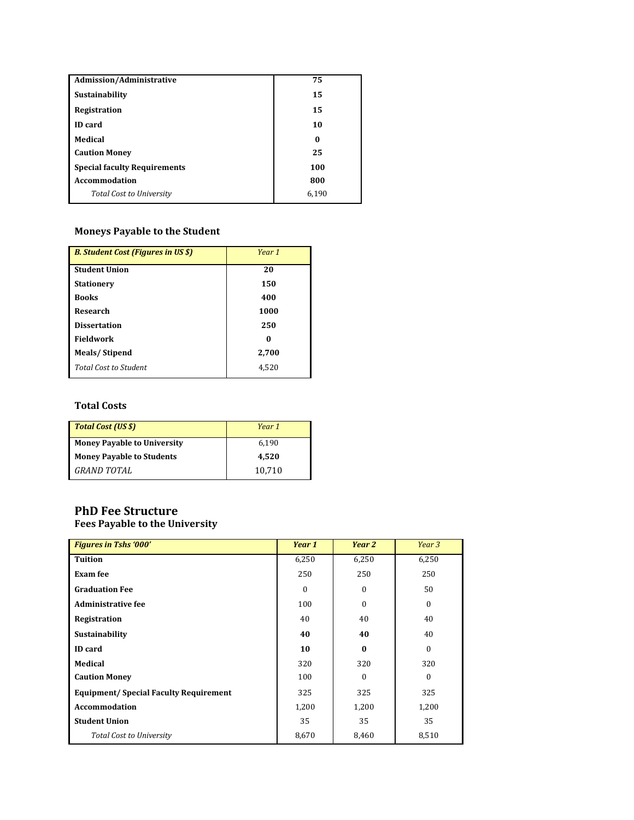| Admission/Administrative            | 75    |
|-------------------------------------|-------|
| Sustainability                      | 15    |
| Registration                        | 15    |
| <b>ID</b> card                      | 10    |
| Medical                             | 0     |
| <b>Caution Money</b>                | 25    |
| <b>Special faculty Requirements</b> | 100   |
| <b>Accommodation</b>                | 800   |
| <b>Total Cost to University</b>     | 6.190 |
|                                     |       |

# **Moneys Payable to the Student**

| <b>B. Student Cost (Figures in US \$)</b> | Year 1 |
|-------------------------------------------|--------|
| <b>Student Union</b>                      | 20     |
| <b>Stationery</b>                         | 150    |
| <b>Books</b>                              | 400    |
| Research                                  | 1000   |
| <b>Dissertation</b>                       | 250    |
| <b>Fieldwork</b>                          | 0      |
| Meals/Stipend                             | 2,700  |
| <b>Total Cost to Student</b>              | 4,520  |

### **Total Costs**

| <b>Total Cost (US \$)</b>          | Year 1 |
|------------------------------------|--------|
| <b>Money Payable to University</b> | 6.190  |
| <b>Money Payable to Students</b>   | 4.520  |
| <b>GRAND TOTAL</b>                 | 10.710 |

# **PhD Fee Structure**

# Fees Payable to the University

| <b>Figures in Tshs '000'</b>                  | Year 1   | Year 2           | Year 3       |
|-----------------------------------------------|----------|------------------|--------------|
| <b>Tuition</b>                                | 6,250    | 6,250            | 6,250        |
| Exam fee                                      | 250      | 250              | 250          |
| <b>Graduation Fee</b>                         | $\Omega$ | $\boldsymbol{0}$ | 50           |
| <b>Administrative fee</b>                     | 100      | $\boldsymbol{0}$ | $\mathbf{0}$ |
| Registration                                  | 40       | 40               | 40           |
| Sustainability                                | 40       | 40               | 40           |
| <b>ID</b> card                                | 10       | $\bf{0}$         | $\Omega$     |
| Medical                                       | 320      | 320              | 320          |
| <b>Caution Money</b>                          | 100      | $\Omega$         | $\Omega$     |
| <b>Equipment/ Special Faculty Requirement</b> | 325      | 325              | 325          |
| <b>Accommodation</b>                          | 1,200    | 1,200            | 1,200        |
| <b>Student Union</b>                          | 35       | 35               | 35           |
| <b>Total Cost to University</b>               | 8,670    | 8,460            | 8,510        |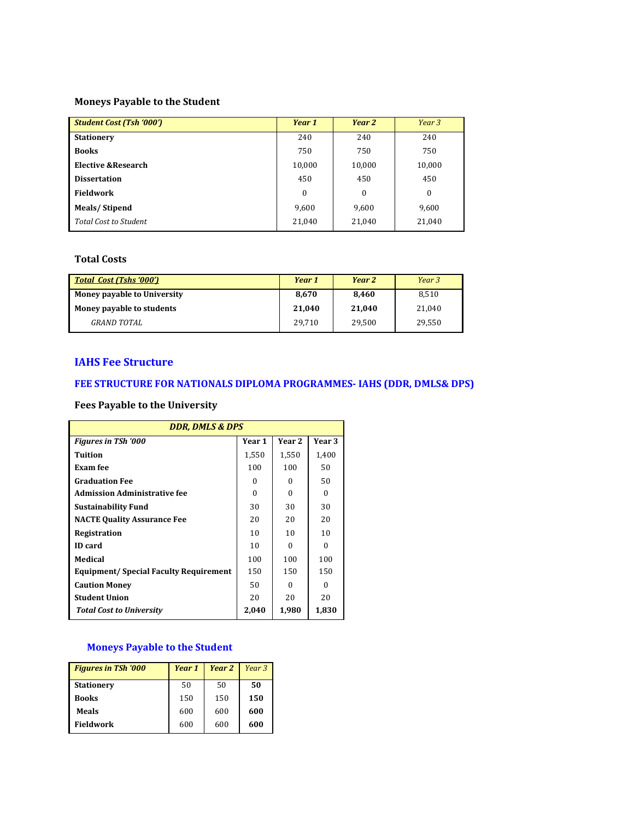### **Moneys Payable to the Student**

| <b>Student Cost (Tsh '000')</b> | Year 1   | Year 2       | Year 3       |
|---------------------------------|----------|--------------|--------------|
| <b>Stationery</b>               | 240      | 240          | 240          |
| <b>Books</b>                    | 750      | 750          | 750          |
| Elective & Research             | 10,000   | 10,000       | 10,000       |
| <b>Dissertation</b>             | 450      | 450          | 450          |
| Fieldwork                       | $\bf{0}$ | $\mathbf{0}$ | $\mathbf{0}$ |
| Meals/Stipend                   | 9,600    | 9,600        | 9,600        |
| Total Cost to Student           | 21,040   | 21,040       | 21,040       |

### **Total Costs**

| <b>Total Cost (Tshs '000')</b> | Year 1 | Year 2 | Year 3 |
|--------------------------------|--------|--------|--------|
| Money payable to University    | 8.670  | 8.460  | 8.510  |
| Money payable to students      | 21.040 | 21.040 | 21.040 |
| GRAND TOTAL                    | 29.710 | 29.500 | 29.550 |

### **IAHS** Fee Structure

# FEE STRUCTURE FOR NATIONALS DIPLOMA PROGRAMMES- IAHS (DDR, DMLS& DPS)

### **Fees Payable to the University**

| <b>DDR, DMLS &amp; DPS</b>                    |        |        |        |  |
|-----------------------------------------------|--------|--------|--------|--|
| <b>Figures in TSh '000</b>                    | Year 1 | Year 2 | Year 3 |  |
| Tuition                                       | 1,550  | 1,550  | 1,400  |  |
| Exam fee                                      | 100    | 100    | 50     |  |
| <b>Graduation Fee</b>                         | 0      | 0      | 50     |  |
| <b>Admission Administrative fee</b>           | 0      | 0      | 0      |  |
| Sustainability Fund                           | 30     | 30     | 30     |  |
| <b>NACTE Quality Assurance Fee</b>            | 20     | 20     | 20     |  |
| Registration                                  | 10     | 10     | 10     |  |
| <b>ID</b> card                                | 10     | 0      | 0      |  |
| Medical                                       | 100    | 100    | 100    |  |
| <b>Equipment/ Special Faculty Requirement</b> | 150    | 150    | 150    |  |
| <b>Caution Money</b>                          | 50     | 0      | 0      |  |
| <b>Student Union</b>                          | 20     | 20     | 20     |  |
| <b>Total Cost to University</b>               | 2,040  | 1,980  | 1,830  |  |

# **Moneys Payable to the Student**

| <b>Figures in TSh '000</b> | Year 1 | Year 2 | Year <sub>3</sub> |
|----------------------------|--------|--------|-------------------|
| <b>Stationery</b>          | 50     | 50     | 50                |
| <b>Books</b>               | 150    | 150    | 150               |
| Meals                      | 600    | 600    | 600               |
| <b>Fieldwork</b>           | 600    | 600    | 600               |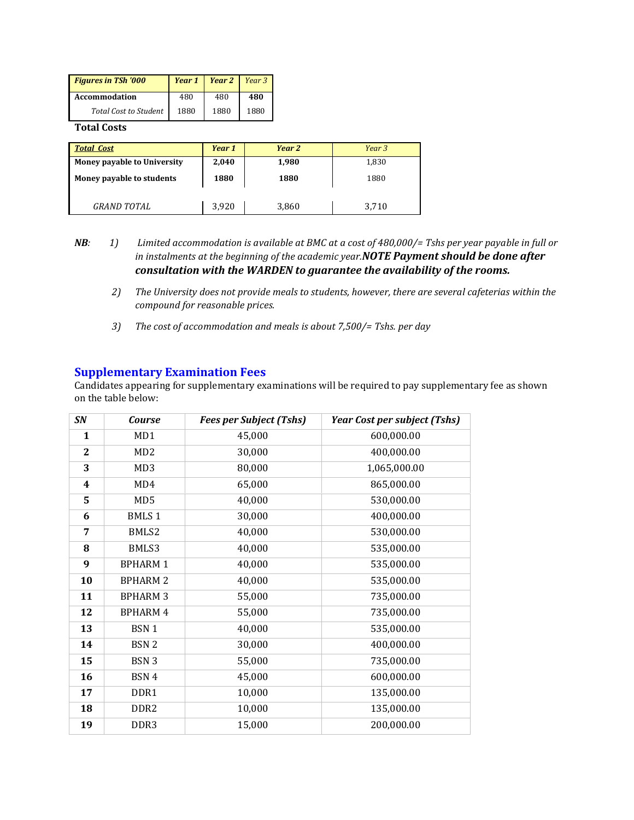| <b>Figures in TSh '000</b>   |      | <b>Year 1</b>   <b>Year 2</b>   Year 3 |      |
|------------------------------|------|----------------------------------------|------|
| <b>Accommodation</b>         | 480  | 480                                    | 480  |
| <b>Total Cost to Student</b> | 1880 | 1880                                   | 1880 |

**Total Costs**

| <b>Total Cost</b>           | Year 1 | Year 2 | Year 3 |
|-----------------------------|--------|--------|--------|
| Money payable to University | 2,040  | 1,980  | 1,830  |
| Money payable to students   | 1880   | 1880   | 1880   |
| <b>GRAND TOTAL</b>          | 3.920  | 3,860  | 3,710  |

- *NB*: 1) Limited accommodation is available at BMC at a cost of 480,000/= Tshs per year payable in full or in instalments at the beginning of the academic year.**NOTE Payment should be done after** *consultation with the WARDEN to guarantee the availability of the rooms.* 
	- 2) The University does not provide meals to students, however, there are several cafeterias within the *compound for reasonable prices.*
	- 3) The cost of accommodation and meals is about 7,500/= Tshs. per day

### **Supplementary Examination Fees**

Candidates appearing for supplementary examinations will be required to pay supplementary fee as shown on the table below:

| <b>SN</b>    | <b>Course</b>    | <b>Fees per Subject (Tshs)</b> | <b>Year Cost per subject (Tshs)</b> |
|--------------|------------------|--------------------------------|-------------------------------------|
| $\mathbf{1}$ | MD1              | 45,000                         | 600,000.00                          |
| 2            | MD2              | 30,000                         | 400,000.00                          |
| 3            | MD <sub>3</sub>  | 80,000                         | 1,065,000.00                        |
| 4            | MD4              | 65,000                         | 865,000.00                          |
| 5            | MD <sub>5</sub>  | 40,000                         | 530,000.00                          |
| 6            | <b>BMLS1</b>     | 30,000                         | 400,000.00                          |
| 7            | BMLS2            | 40,000                         | 530,000.00                          |
| 8            | BMLS3            | 40,000                         | 535,000.00                          |
| 9            | <b>BPHARM1</b>   | 40,000                         | 535,000.00                          |
| 10           | <b>BPHARM 2</b>  | 40,000                         | 535,000.00                          |
| 11           | <b>BPHARM 3</b>  | 55,000                         | 735,000.00                          |
| 12           | <b>BPHARM4</b>   | 55,000                         | 735,000.00                          |
| 13           | BSN 1            | 40,000                         | 535,000.00                          |
| 14           | BSN 2            | 30,000                         | 400,000.00                          |
| 15           | BSN 3            | 55,000                         | 735,000.00                          |
| 16           | BSN 4            | 45,000                         | 600,000.00                          |
| 17           | DDR1             | 10,000                         | 135,000.00                          |
| 18           | DDR <sub>2</sub> | 10,000                         | 135,000.00                          |
| 19           | DDR <sub>3</sub> | 15,000                         | 200,000.00                          |